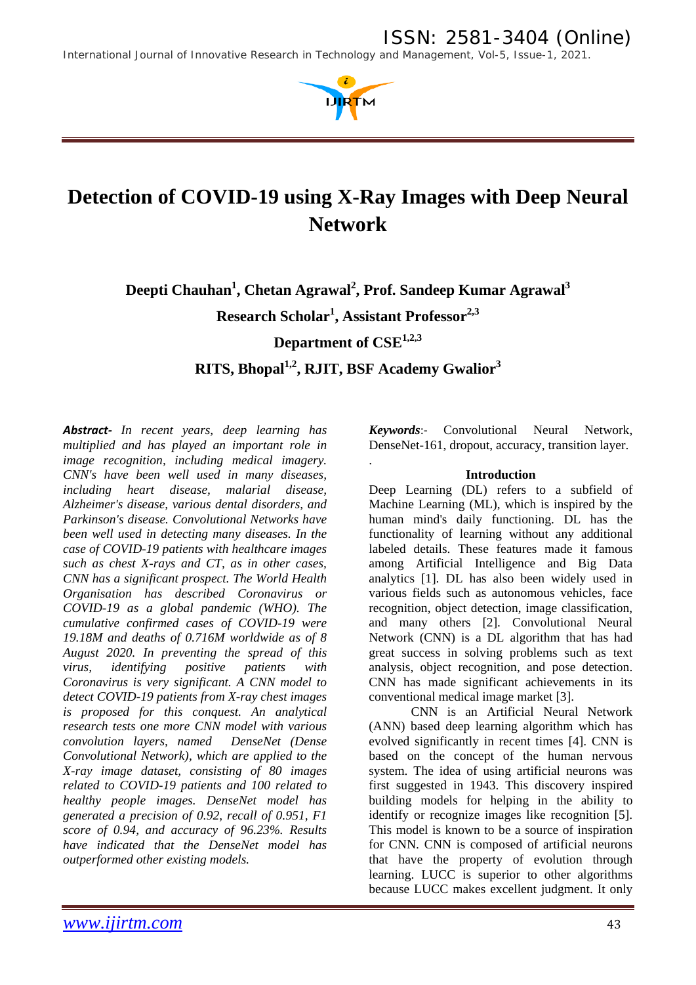*International Journal of Innovative Research in Technology and Management, Vol-5, Issue-1, 2021.*



# **Detection of COVID-19 using X-Ray Images with Deep Neural Network**

Deepti Chauhan<sup>1</sup>, Chetan Agrawal<sup>2</sup>, Prof. Sandeep Kumar Agrawal<sup>3</sup> **Research Scholar1 , Assistant Professor2,3 Department of CSE1,2,3 RITS, Bhopal1,2, RJIT, BSF Academy Gwalior3**

.

*Abstract- In recent years, deep learning has multiplied and has played an important role in image recognition, including medical imagery. CNN's have been well used in many diseases, including heart disease, malarial disease, Alzheimer's disease, various dental disorders, and Parkinson's disease. Convolutional Networks have been well used in detecting many diseases. In the case of COVID-19 patients with healthcare images such as chest X-rays and CT, as in other cases, CNN has a significant prospect. The World Health Organisation has described Coronavirus or COVID-19 as a global pandemic (WHO). The cumulative confirmed cases of COVID-19 were 19.18M and deaths of 0.716M worldwide as of 8 August 2020. In preventing the spread of this virus, identifying positive patients with Coronavirus is very significant. A CNN model to detect COVID-19 patients from X-ray chest images is proposed for this conquest. An analytical research tests one more CNN model with various convolution layers, named DenseNet (Dense Convolutional Network), which are applied to the X-ray image dataset, consisting of 80 images related to COVID-19 patients and 100 related to healthy people images. DenseNet model has generated a precision of 0.92, recall of 0.951, F1 score of 0.94, and accuracy of 96.23%. Results have indicated that the DenseNet model has outperformed other existing models.*

*Keywords*:- Convolutional Neural Network, DenseNet-161, dropout, accuracy, transition layer.

### **Introduction**

Deep Learning (DL) refers to a subfield of Machine Learning (ML), which is inspired by the human mind's daily functioning. DL has the functionality of learning without any additional labeled details. These features made it famous among Artificial Intelligence and Big Data analytics [1]. DL has also been widely used in various fields such as autonomous vehicles, face recognition, object detection, image classification, and many others [2]. Convolutional Neural Network (CNN) is a DL algorithm that has had great success in solving problems such as text analysis, object recognition, and pose detection. CNN has made significant achievements in its conventional medical image market [3].

CNN is an Artificial Neural Network (ANN) based deep learning algorithm which has evolved significantly in recent times [4]. CNN is based on the concept of the human nervous system. The idea of using artificial neurons was first suggested in 1943. This discovery inspired building models for helping in the ability to identify or recognize images like recognition [5]. This model is known to be a source of inspiration for CNN. CNN is composed of artificial neurons that have the property of evolution through learning. LUCC is superior to other algorithms because LUCC makes excellent judgment. It only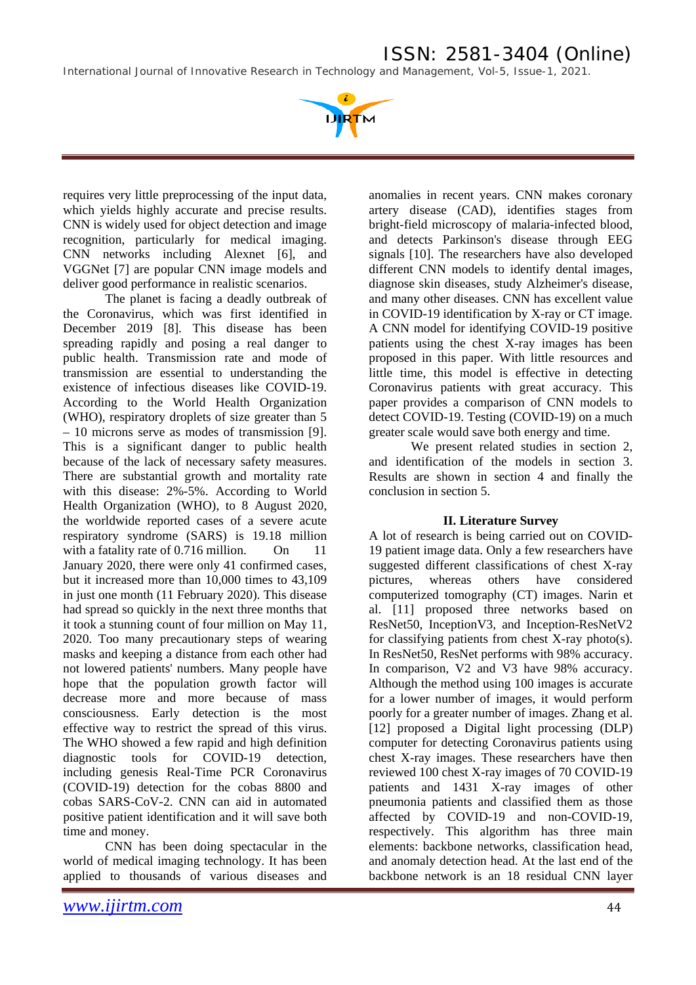*International Journal of Innovative Research in Technology and Management, Vol-5, Issue-1, 2021.*



requires very little preprocessing of the input data, which yields highly accurate and precise results. CNN is widely used for object detection and image recognition, particularly for medical imaging. CNN networks including Alexnet [6], and VGGNet [7] are popular CNN image models and deliver good performance in realistic scenarios.

The planet is facing a deadly outbreak of the Coronavirus, which was first identified in December 2019 [8]. This disease has been spreading rapidly and posing a real danger to public health. Transmission rate and mode of transmission are essential to understanding the existence of infectious diseases like COVID-19. According to the World Health Organization (WHO), respiratory droplets of size greater than 5 – 10 microns serve as modes of transmission [9]. This is a significant danger to public health because of the lack of necessary safety measures. There are substantial growth and mortality rate with this disease: 2%-5%. According to World Health Organization (WHO), to 8 August 2020, the worldwide reported cases of a severe acute respiratory syndrome (SARS) is 19.18 million with a fatality rate of 0.716 million. On 11 January 2020, there were only 41 confirmed cases, but it increased more than 10,000 times to 43,109 in just one month (11 February 2020). This disease had spread so quickly in the next three months that it took a stunning count of four million on May 11, 2020. Too many precautionary steps of wearing masks and keeping a distance from each other had not lowered patients' numbers. Many people have hope that the population growth factor will decrease more and more because of mass consciousness. Early detection is the most effective way to restrict the spread of this virus. The WHO showed a few rapid and high definition diagnostic tools for COVID-19 detection, including genesis Real-Time PCR Coronavirus (COVID-19) detection for the cobas 8800 and cobas SARS-CoV-2. CNN can aid in automated positive patient identification and it will save both time and money.

CNN has been doing spectacular in the world of medical imaging technology. It has been applied to thousands of various diseases and

anomalies in recent years. CNN makes coronary artery disease (CAD), identifies stages from bright-field microscopy of malaria-infected blood, and detects Parkinson's disease through EEG signals [10]. The researchers have also developed different CNN models to identify dental images, diagnose skin diseases, study Alzheimer's disease, and many other diseases. CNN has excellent value in COVID-19 identification by X-ray or CT image. A CNN model for identifying COVID-19 positive patients using the chest X-ray images has been proposed in this paper. With little resources and little time, this model is effective in detecting Coronavirus patients with great accuracy. This paper provides a comparison of CNN models to detect COVID-19. Testing (COVID-19) on a much greater scale would save both energy and time.

We present related studies in section 2, and identification of the models in section 3. Results are shown in section 4 and finally the conclusion in section 5.

### **II. Literature Survey**

A lot of research is being carried out on COVID-19 patient image data. Only a few researchers have suggested different classifications of chest X-ray pictures, whereas others have considered computerized tomography (CT) images. Narin et al. [11] proposed three networks based on ResNet50, InceptionV3, and Inception-ResNetV2 for classifying patients from chest X-ray photo(s). In ResNet50, ResNet performs with 98% accuracy. In comparison, V2 and V3 have 98% accuracy. Although the method using 100 images is accurate for a lower number of images, it would perform poorly for a greater number of images. Zhang et al. [12] proposed a Digital light processing (DLP) computer for detecting Coronavirus patients using chest X-ray images. These researchers have then reviewed 100 chest X-ray images of 70 COVID-19 patients and 1431 X-ray images of other pneumonia patients and classified them as those affected by COVID-19 and non-COVID-19, respectively. This algorithm has three main elements: backbone networks, classification head, and anomaly detection head. At the last end of the backbone network is an 18 residual CNN layer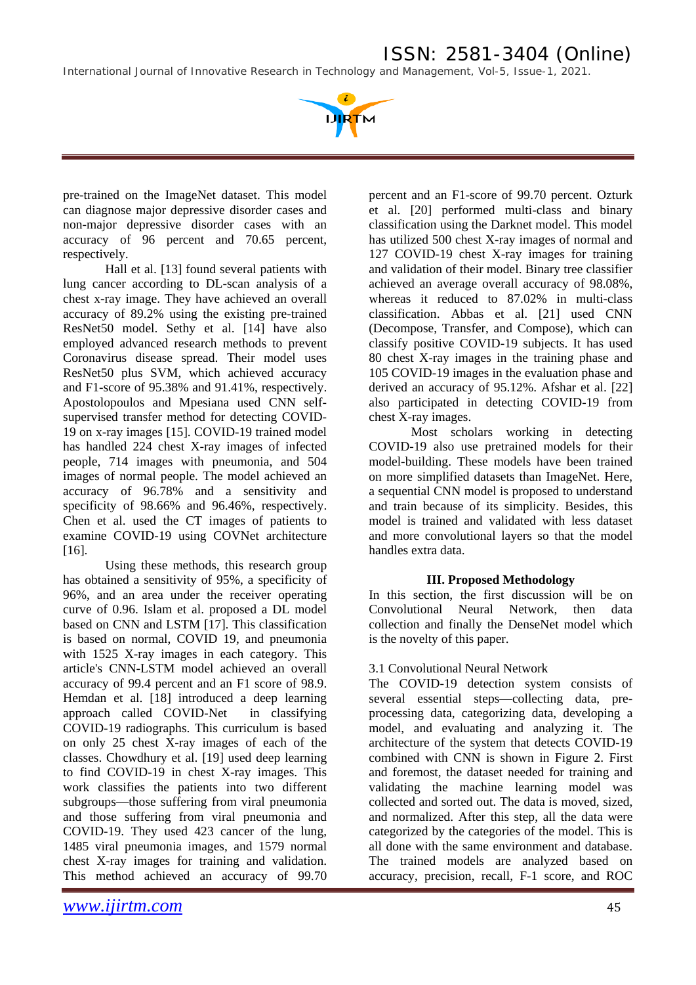*International Journal of Innovative Research in Technology and Management, Vol-5, Issue-1, 2021.*



pre-trained on the ImageNet dataset. This model can diagnose major depressive disorder cases and non-major depressive disorder cases with an accuracy of 96 percent and 70.65 percent, respectively.

Hall et al. [13] found several patients with lung cancer according to DL-scan analysis of a chest x-ray image. They have achieved an overall accuracy of 89.2% using the existing pre-trained ResNet50 model. Sethy et al. [14] have also employed advanced research methods to prevent Coronavirus disease spread. Their model uses ResNet50 plus SVM, which achieved accuracy and F1-score of 95.38% and 91.41%, respectively. Apostolopoulos and Mpesiana used CNN selfsupervised transfer method for detecting COVID-19 on x-ray images [15]. COVID-19 trained model has handled 224 chest X-ray images of infected people, 714 images with pneumonia, and 504 images of normal people. The model achieved an accuracy of 96.78% and a sensitivity and specificity of 98.66% and 96.46%, respectively. Chen et al. used the CT images of patients to examine COVID-19 using COVNet architecture [16].

Using these methods, this research group has obtained a sensitivity of 95%, a specificity of 96%, and an area under the receiver operating curve of 0.96. Islam et al. proposed a DL model based on CNN and LSTM [17]. This classification is based on normal, COVID 19, and pneumonia with 1525 X-ray images in each category. This article's CNN-LSTM model achieved an overall accuracy of 99.4 percent and an F1 score of 98.9. Hemdan et al. [18] introduced a deep learning approach called COVID-Net in classifying COVID-19 radiographs. This curriculum is based on only 25 chest X-ray images of each of the classes. Chowdhury et al. [19] used deep learning to find COVID-19 in chest X-ray images. This work classifies the patients into two different subgroups—those suffering from viral pneumonia and those suffering from viral pneumonia and COVID-19. They used 423 cancer of the lung, 1485 viral pneumonia images, and 1579 normal chest X-ray images for training and validation. This method achieved an accuracy of 99.70

percent and an F1-score of 99.70 percent. Ozturk et al. [20] performed multi-class and binary classification using the Darknet model. This model has utilized 500 chest X-ray images of normal and 127 COVID-19 chest X-ray images for training and validation of their model. Binary tree classifier achieved an average overall accuracy of 98.08%, whereas it reduced to 87.02% in multi-class classification. Abbas et al. [21] used CNN (Decompose, Transfer, and Compose), which can classify positive COVID-19 subjects. It has used 80 chest X-ray images in the training phase and 105 COVID-19 images in the evaluation phase and derived an accuracy of 95.12%. Afshar et al. [22] also participated in detecting COVID-19 from chest X-ray images.

Most scholars working in detecting COVID-19 also use pretrained models for their model-building. These models have been trained on more simplified datasets than ImageNet. Here, a sequential CNN model is proposed to understand and train because of its simplicity. Besides, this model is trained and validated with less dataset and more convolutional layers so that the model handles extra data.

### **III. Proposed Methodology**

In this section, the first discussion will be on Convolutional Neural Network, then data collection and finally the DenseNet model which is the novelty of this paper.

### 3.1 Convolutional Neural Network

The COVID-19 detection system consists of several essential steps—collecting data, preprocessing data, categorizing data, developing a model, and evaluating and analyzing it. The architecture of the system that detects COVID-19 combined with CNN is shown in Figure 2. First and foremost, the dataset needed for training and validating the machine learning model was collected and sorted out. The data is moved, sized, and normalized. After this step, all the data were categorized by the categories of the model. This is all done with the same environment and database. The trained models are analyzed based on accuracy, precision, recall, F-1 score, and ROC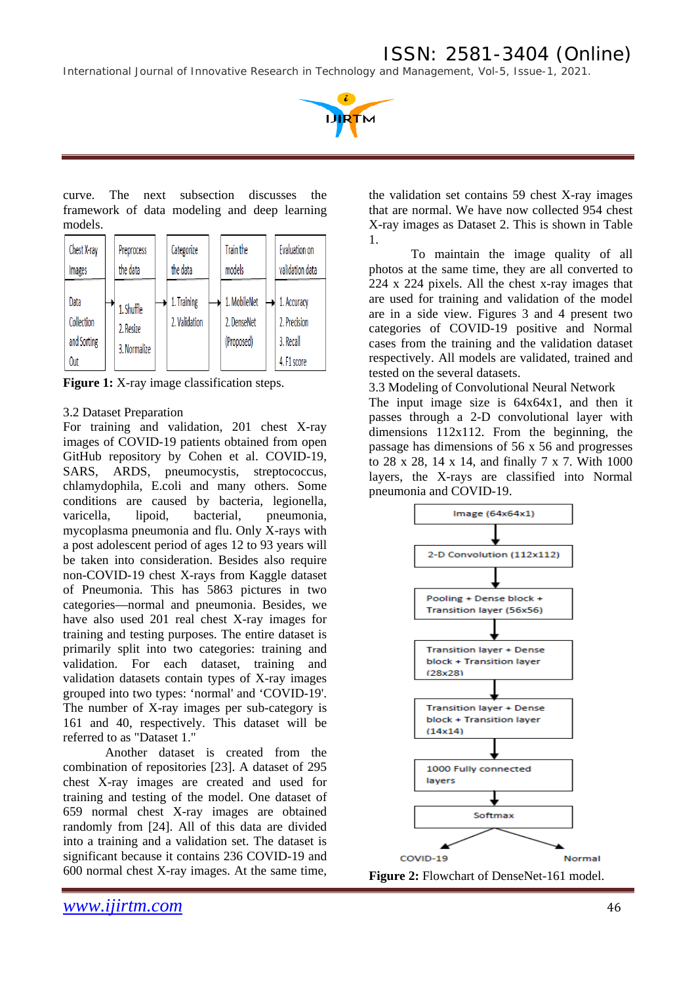*International Journal of Innovative Research in Technology and Management, Vol-5, Issue-1, 2021.*



curve. The next subsection discusses the framework of data modeling and deep learning models.

| Chest X-ray<br>Images                           | Preprocess<br>the data                  | Categorize<br>the data       | Train the<br>models                       | Evaluation on<br>validation data                        |
|-------------------------------------------------|-----------------------------------------|------------------------------|-------------------------------------------|---------------------------------------------------------|
| Data<br>Collection<br>and Sorting<br><b>Out</b> | 1. Shuffle<br>2. Resize<br>3. Normalize | 1. Training<br>2. Validation | 1. MobileNet<br>2. DenseNet<br>(Proposed) | 1. Accuracy<br>2. Precision<br>3. Recall<br>4. F1 score |

**Figure 1:** X-ray image classification steps.

### 3.2 Dataset Preparation

For training and validation, 201 chest X-ray images of COVID-19 patients obtained from open GitHub repository by Cohen et al. COVID-19, SARS, ARDS, pneumocystis, streptococcus, chlamydophila, E.coli and many others. Some conditions are caused by bacteria, legionella, varicella, lipoid, bacterial, pneumonia, mycoplasma pneumonia and flu. Only X-rays with a post adolescent period of ages 12 to 93 years will be taken into consideration. Besides also require non-COVID-19 chest X-rays from Kaggle dataset of Pneumonia. This has 5863 pictures in two categories—normal and pneumonia. Besides, we have also used 201 real chest X-ray images for training and testing purposes. The entire dataset is primarily split into two categories: training and validation. For each dataset, training and validation datasets contain types of X-ray images grouped into two types: 'normal' and 'COVID-19'. The number of X-ray images per sub-category is 161 and 40, respectively. This dataset will be referred to as "Dataset 1."

Another dataset is created from the combination of repositories [23]. A dataset of 295 chest X-ray images are created and used for training and testing of the model. One dataset of 659 normal chest X-ray images are obtained randomly from [24]. All of this data are divided into a training and a validation set. The dataset is significant because it contains 236 COVID-19 and 600 normal chest X-ray images. At the same time,

the validation set contains 59 chest X-ray images that are normal. We have now collected 954 chest X-ray images as Dataset 2. This is shown in Table 1.

To maintain the image quality of all photos at the same time, they are all converted to 224 x 224 pixels. All the chest x-ray images that are used for training and validation of the model are in a side view. Figures 3 and 4 present two categories of COVID-19 positive and Normal cases from the training and the validation dataset respectively. All models are validated, trained and tested on the several datasets.

3.3 Modeling of Convolutional Neural Network The input image size is 64x64x1, and then it passes through a 2-D convolutional layer with dimensions 112x112. From the beginning, the passage has dimensions of 56 x 56 and progresses to 28 x 28, 14 x 14, and finally 7 x 7. With 1000 layers, the X-rays are classified into Normal pneumonia and COVID-19.



**Figure 2:** Flowchart of DenseNet-161 model.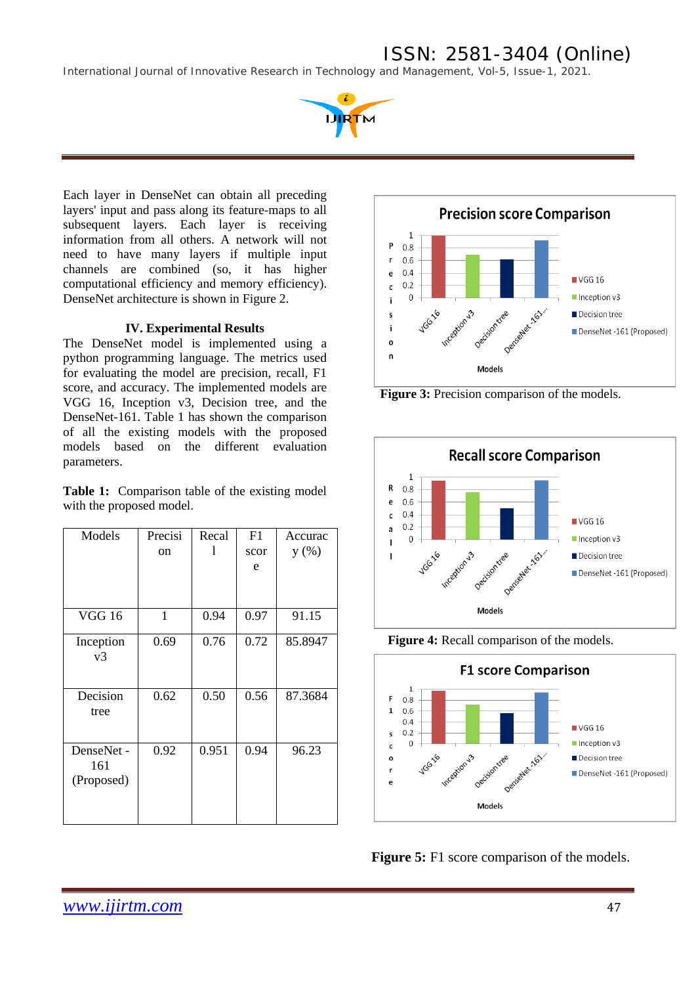*International Journal of Innovative Research in Technology and Management, Vol-5, Issue-1, 2021.*



Each layer in DenseNet can obtain all preceding layers' input and pass along its feature-maps to all subsequent layers. Each layer is receiving information from all others. A network will not need to have many layers if multiple input channels are combined (so, it has higher computational efficiency and memory efficiency). DenseNet architecture is shown in Figure 2.

#### **IV. Experimental Results**

The DenseNet model is implemented using a python programming language. The metrics used for evaluating the model are precision, recall, F1 score, and accuracy. The implemented models are VGG 16, Inception v3, Decision tree, and the DenseNet-161. Table 1 has shown the comparison of all the existing models with the proposed models based on the different evaluation parameters.

**Table 1:** Comparison table of the existing model with the proposed model.

| Models        | Precisi | Recal | F1   | Accurac |  |
|---------------|---------|-------|------|---------|--|
|               | on      | I     | scor | y(%)    |  |
|               |         |       | e    |         |  |
|               |         |       |      |         |  |
|               |         |       |      |         |  |
| <b>VGG 16</b> | 1       | 0.94  | 0.97 | 91.15   |  |
| Inception     | 0.69    | 0.76  | 0.72 | 85.8947 |  |
| v3            |         |       |      |         |  |
|               |         |       |      |         |  |
| Decision      | 0.62    | 0.50  | 0.56 | 87.3684 |  |
| tree          |         |       |      |         |  |
|               |         |       |      |         |  |
| DenseNet -    | 0.92    | 0.951 | 0.94 | 96.23   |  |
| 161           |         |       |      |         |  |
| (Proposed)    |         |       |      |         |  |
|               |         |       |      |         |  |
|               |         |       |      |         |  |



**Figure 3:** Precision comparison of the models.







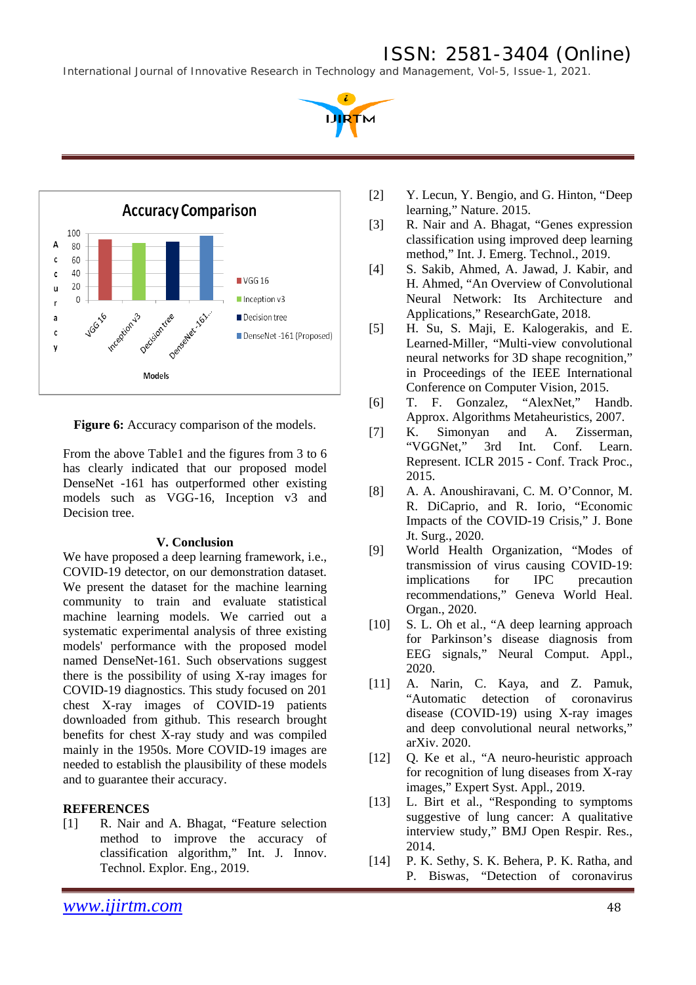*International Journal of Innovative Research in Technology and Management, Vol-5, Issue-1, 2021.*

**URTM** 



**Figure 6:** Accuracy comparison of the models.

From the above Table1 and the figures from 3 to 6 has clearly indicated that our proposed model DenseNet -161 has outperformed other existing models such as VGG-16, Inception v3 and Decision tree.

### **V. Conclusion**

We have proposed a deep learning framework, *i.e.*, COVID-19 detector, on our demonstration dataset. We present the dataset for the machine learning community to train and evaluate statistical machine learning models. We carried out a systematic experimental analysis of three existing models' performance with the proposed model named DenseNet-161. Such observations suggest there is the possibility of using X-ray images for COVID-19 diagnostics. This study focused on 201 chest X-ray images of COVID-19 patients downloaded from github. This research brought benefits for chest X-ray study and was compiled mainly in the 1950s. More COVID-19 images are needed to establish the plausibility of these models and to guarantee their accuracy.

### **REFERENCES**

[1] R. Nair and A. Bhagat, "Feature selection method to improve the accuracy of classification algorithm," Int. J. Innov. Technol. Explor. Eng., 2019.

- [2] Y. Lecun, Y. Bengio, and G. Hinton, "Deep learning," Nature. 2015.
- [3] R. Nair and A. Bhagat, "Genes expression classification using improved deep learning method," Int. J. Emerg. Technol., 2019.
- [4] S. Sakib, Ahmed, A. Jawad, J. Kabir, and H. Ahmed, "An Overview of Convolutional Neural Network: Its Architecture and Applications," ResearchGate, 2018.
- [5] H. Su, S. Maji, E. Kalogerakis, and E. Learned-Miller, "Multi-view convolutional neural networks for 3D shape recognition," in Proceedings of the IEEE International Conference on Computer Vision, 2015.
- [6] T. F. Gonzalez, "AlexNet," Handb. Approx. Algorithms Metaheuristics, 2007.
- [7] K. Simonyan and A. Zisserman, "VGGNet," 3rd Int. Conf. Learn. Represent. ICLR 2015 - Conf. Track Proc., 2015.
- [8] A. A. Anoushiravani, C. M. O'Connor, M. R. DiCaprio, and R. Iorio, "Economic Impacts of the COVID-19 Crisis," J. Bone Jt. Surg., 2020.
- [9] World Health Organization, "Modes of transmission of virus causing COVID-19: implications for IPC precaution recommendations," Geneva World Heal. Organ., 2020.
- [10] S. L. Oh et al., "A deep learning approach for Parkinson's disease diagnosis from EEG signals," Neural Comput. Appl., 2020.
- [11] A. Narin, C. Kaya, and Z. Pamuk, "Automatic detection of coronavirus disease (COVID-19) using X-ray images and deep convolutional neural networks," arXiv. 2020.
- [12] Q. Ke et al., "A neuro-heuristic approach for recognition of lung diseases from X-ray images," Expert Syst. Appl., 2019.
- [13] L. Birt et al., "Responding to symptoms suggestive of lung cancer: A qualitative interview study," BMJ Open Respir. Res., 2014.
- [14] P. K. Sethy, S. K. Behera, P. K. Ratha, and P. Biswas, "Detection of coronavirus